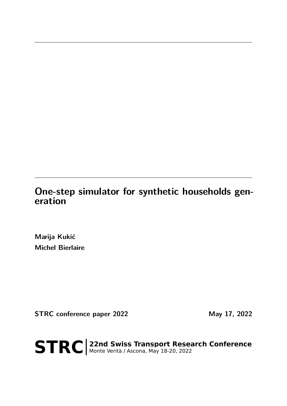# **One-step simulator for synthetic households generation**

**Marija Kukić Michel Bierlaire**

**STRC conference paper 2022** May 17, 2022

STRC | 22nd Swiss Transport Research Conference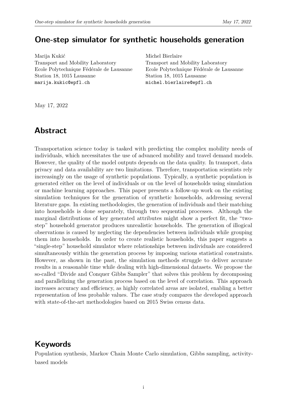### **One-step simulator for synthetic households generation**

Marija Kukić Transport and Mobility Laboratory Ecole Polytechnique Fédérale de Lausanne Station 18, 1015 Lausanne marija.kukic@epfl.ch

Michel Bierlaire Transport and Mobility Laboratory Ecole Polytechnique Fédérale de Lausanne Station 18, 1015 Lausanne michel.bierlaire@epfl.ch

May 17, 2022

### **Abstract**

Transportation science today is tasked with predicting the complex mobility needs of individuals, which necessitates the use of advanced mobility and travel demand models. However, the quality of the model outputs depends on the data quality. In transport, data privacy and data availability are two limitations. Therefore, transportation scientists rely increasingly on the usage of synthetic populations. Typically, a synthetic population is generated either on the level of individuals or on the level of households using simulation or machine learning approaches. This paper presents a follow-up work on the existing simulation techniques for the generation of synthetic households, addressing several literature gaps. In existing methodologies, the generation of individuals and their matching into households is done separately, through two sequential processes. Although the marginal distributions of key generated attributes might show a perfect fit, the "twostep" household generator produces unrealistic households. The generation of illogical observations is caused by neglecting the dependencies between individuals while grouping them into households. In order to create realistic households, this paper suggests a "single-step" household simulator where relationships between individuals are considered simultaneously within the generation process by imposing various statistical constraints. However, as shown in the past, the simulation methods struggle to deliver accurate results in a reasonable time while dealing with high-dimensional datasets. We propose the so-called "Divide and Conquer Gibbs Sampler" that solves this problem by decomposing and parallelizing the generation process based on the level of correlation. This approach increases accuracy and efficiency, as highly correlated areas are isolated, enabling a better representation of less probable values. The case study compares the developed approach with state-of-the-art methodologies based on 2015 Swiss census data.

## **Keywords**

Population synthesis, Markov Chain Monte Carlo simulation, Gibbs sampling, activitybased models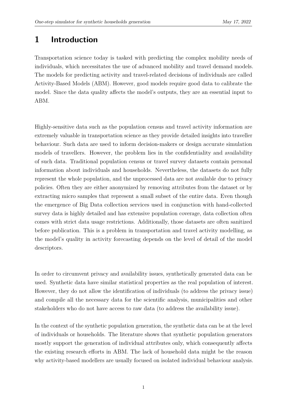## **1 Introduction**

Transportation science today is tasked with predicting the complex mobility needs of individuals, which necessitates the use of advanced mobility and travel demand models. The models for predicting activity and travel-related decisions of individuals are called Activity-Based Models (ABM). However, good models require good data to calibrate the model. Since the data quality affects the model's outputs, they are an essential input to ABM.

Highly-sensitive data such as the population census and travel activity information are extremely valuable in transportation science as they provide detailed insights into traveller behaviour. Such data are used to inform decision-makers or design accurate simulation models of travellers. However, the problem lies in the confidentiality and availability of such data. Traditional population census or travel survey datasets contain personal information about individuals and households. Nevertheless, the datasets do not fully represent the whole population, and the unprocessed data are not available due to privacy policies. Often they are either anonymized by removing attributes from the dataset or by extracting micro samples that represent a small subset of the entire data. Even though the emergence of Big Data collection services used in conjunction with hand-collected survey data is highly detailed and has extensive population coverage, data collection often comes with strict data usage restrictions. Additionally, those datasets are often sanitized before publication. This is a problem in transportation and travel activity modelling, as the model's quality in activity forecasting depends on the level of detail of the model descriptors.

In order to circumvent privacy and availability issues, synthetically generated data can be used. Synthetic data have similar statistical properties as the real population of interest. However, they do not allow the identification of individuals (to address the privacy issue) and compile all the necessary data for the scientific analysis, municipalities and other stakeholders who do not have access to raw data (to address the availability issue).

In the context of the synthetic population generation, the synthetic data can be at the level of individuals or households. The literature shows that synthetic population generators mostly support the generation of individual attributes only, which consequently affects the existing research efforts in ABM. The lack of household data might be the reason why activity-based modellers are usually focused on isolated individual behaviour analysis.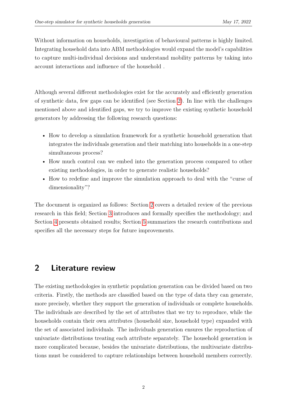Without information on households, investigation of behavioural patterns is highly limited. Integrating household data into ABM methodologies would expand the model's capabilities to capture multi-individual decisions and understand mobility patterns by taking into account interactions and influence of the household .

Although several different methodologies exist for the accurately and efficiently generation of synthetic data, few gaps can be identified (see Section [2\)](#page-3-0). In line with the challenges mentioned above and identified gaps, we try to improve the existing synthetic household generators by addressing the following research questions:

- How to develop a simulation framework for a synthetic household generation that integrates the individuals generation and their matching into households in a one-step simultaneous process?
- How much control can we embed into the generation process compared to other existing methodologies, in order to generate realistic households?
- How to redefine and improve the simulation approach to deal with the "curse of dimensionality"?

The document is organized as follows: Section [2](#page-3-0) covers a detailed review of the previous research in this field; Section [3](#page-8-0) introduces and formally specifies the methodology; and Section [4](#page-18-0) presents obtained results; Section [5](#page-24-0) summarizes the research contributions and specifies all the necessary steps for future improvements.

## <span id="page-3-0"></span>**2 Literature review**

The existing methodologies in synthetic population generation can be divided based on two criteria. Firstly, the methods are classified based on the type of data they can generate, more precisely, whether they support the generation of individuals or complete households. The individuals are described by the set of attributes that we try to reproduce, while the households contain their own attributes (household size, household type) expanded with the set of associated individuals. The individuals generation ensures the reproduction of univariate distributions treating each attribute separately. The household generation is more complicated because, besides the univariate distributions, the multivariate distributions must be considered to capture relationships between household members correctly.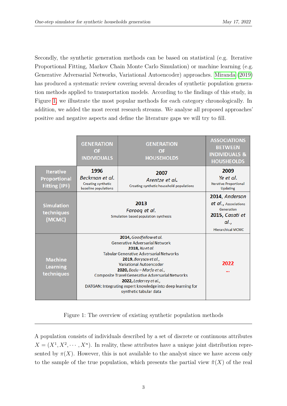Secondly, the synthetic generation methods can be based on statistical (e.g. Iterative Proportional Fitting, Markov Chain Monte Carlo Simulation) or machine learning (e.g. Generative Adversarial Networks, Variational Autoencoder) approaches. [Miranda](#page-26-0) [\(2019\)](#page-26-0) has produced a systematic review covering several decades of synthetic population generation methods applied to transportation models. According to the findings of this study, in Figure [1,](#page-4-0) we illustrate the most popular methods for each category chronologically. In addition, we added the most recent research streams. We analyse all proposed approaches' positive and negative aspects and define the literature gaps we will try to fill.

<span id="page-4-0"></span>

|                                                                 | <b>GENERATION</b><br><b>OF</b><br><b>INDIVIDUALS</b>                                                                                                                                                                                                                                                                                                                                                         | <b>GENERATION</b><br><b>OF</b><br><b>HOUSEHOLDS</b>                | <b>ASSOCIATIONS</b><br><b>BETWEEN</b><br><b>INDIVIDUALS &amp;</b><br><b>HOUSHEOLDS</b>                    |
|-----------------------------------------------------------------|--------------------------------------------------------------------------------------------------------------------------------------------------------------------------------------------------------------------------------------------------------------------------------------------------------------------------------------------------------------------------------------------------------------|--------------------------------------------------------------------|-----------------------------------------------------------------------------------------------------------|
| <b>Iterative</b><br><b>Proportional</b><br><b>Fitting (IPF)</b> | 1996<br>Beckman et al.<br><b>Creating synthetic</b><br>baseline populations                                                                                                                                                                                                                                                                                                                                  | 2007<br>Arentze et al.<br>Creating synthetic household populations | 2009<br>Ye et al.<br><b>Iterative Proportional</b><br>Updating                                            |
| <b>Simulation</b><br>techniques<br>(MCMC)                       | 2013<br>Faroog et al.<br>Simulation based population synthesis                                                                                                                                                                                                                                                                                                                                               |                                                                    | 2014, Anderson<br>et al., Associations<br>Generation<br>2015, Casati et<br>al<br><b>Hierarchical MCMC</b> |
| <b>Machine</b><br><b>Learning</b><br>techniques                 | 2014, Goodfellow et al.<br><b>Generative Adversarial Network</b><br>2018, Xu et al.<br><b>Tabular Generative Adversarial Networks</b><br>2019, Borysov et al.,<br><b>Variational Autoencoder</b><br>2020, Badu - Marfo et al.,<br><b>Composite Travel Generative Adversarial Networks</b><br>2022, Lederrey et al.,<br>DATGAN: Integrating expert knowledge into deep learning for<br>synthetic tabular data |                                                                    | 2022<br>                                                                                                  |

Figure 1: The overview of existing synthetic population methods

A population consists of individuals described by a set of discrete or continuous attributes  $X = (X^1, X^2, \dots, X^n)$ . In reality, these attributes have a unique joint distribution represented by  $\pi(X)$ . However, this is not available to the analyst since we have access only to the sample of the true population, which presents the partial view  $\hat{\pi}(X)$  of the real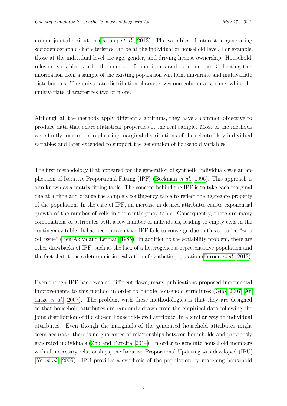unique joint distribution [\(Farooq](#page-25-0) *et al.*, [2013\)](#page-25-0). The variables of interest in generating sociodemographic characteristics can be at the individual or household level. For example, those at the individual level are age, gender, and driving license ownership. Householdrelevant variables can be the number of inhabitants and total income. Collecting this information from a sample of the existing population will form univariate and multivariate distributions. The univariate distribution characterizes one column at a time, while the multivariate characterizes two or more.

Although all the methods apply different algorithms, they have a common objective to produce data that share statistical properties of the real sample. Most of the methods were firstly focused on replicating marginal distributions of the selected key individual variables and later extended to support the generation of household variables.

The first methodology that appeared for the generation of synthetic individuals was an application of Iterative Proportional Fitting (IPF) [\(Beckman](#page-25-1) *et al.*, [1996\)](#page-25-1). This approach is also known as a matrix fitting table. The concept behind the IPF is to take each marginal one at a time and change the sample's contingency table to reflect the aggregate property of the population. In the case of IPF, an increase in desired attributes causes exponential growth of the number of cells in the contingency table. Consequently, there are many combinations of attributes with a low number of individuals, leading to empty cells in the contingency table. It has been proven that IPF fails to converge due to this so-called "zero cell issue" [\(Ben-Akiva and Lerman, 1985\)](#page-25-2). In addition to the scalability problem, there are other drawbacks of IPF, such as the lack of a heterogeneous representative population and the fact that it has a deterministic realization of synthetic population [\(Farooq](#page-25-0) *et al.*, [2013\)](#page-25-0).

Even though IPF has revealed different flaws, many publications proposed incremental improvements to this method in order to handle household structures [\(Guo, 2007;](#page-26-1) [Ar](#page-25-3)entze *[et al.](#page-25-3)*, [2007\)](#page-25-3). The problem with these methodologies is that they are designed so that household attributes are randomly drawn from the empirical data following the joint distribution of the chosen household-level attribute, in a similar way to individual attributes. Even though the marginals of the generated household attributes might seem accurate, there is no guarantee of relationships between households and previously generated individuals [\(Zhu and Ferreira, 2014\)](#page-26-2). In order to generate household members with all necessary relationships, the Iterative Proportional Updating was developed (IPU) (Ye *[et al.](#page-26-3)*, [2009\)](#page-26-3). IPU provides a synthesis of the population by matching household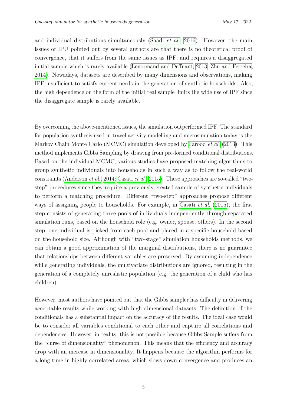and individual distributions simultaneously [\(Saadi](#page-26-4) *et al.*, [2016\)](#page-26-4). However, the main issues of IPU pointed out by several authors are that there is no theoretical proof of convergence, that it suffers from the same issues as IPF, and requires a disaggregated initial sample which is rarely available [\(Lenormand and Deffuant, 2013;](#page-26-5) [Zhu and Ferreira,](#page-26-2) [2014\)](#page-26-2). Nowadays, datasets are described by many dimensions and observations, making IPF insufficient to satisfy current needs in the generation of synthetic households. Also, the high dependence on the form of the initial real sample limits the wide use of IPF since the disaggregate sample is rarely available.

By overcoming the above-mentioned issues, the simulation outperformed IPF. The standard for population synthesis used in travel activity modelling and microsimulation today is the Markov Chain Monte Carlo (MCMC) simulation developed by [Farooq](#page-25-0) *et al.* [\(2013\)](#page-25-0). This method implements Gibbs Sampling by drawing from pre-formed conditional distributions. Based on the individual MCMC, various studies have proposed matching algorithms to group synthetic individuals into households in such a way as to follow the real-world constraints [\(Anderson](#page-25-4) *et al.*, [2014;](#page-25-4) [Casati](#page-25-5) *et al.*, [2015\)](#page-25-5). These approaches are so-called "twostep" procedures since they require a previously created sample of synthetic individuals to perform a matching procedure. Different "two-step" approaches propose different ways of assigning people to households. For example, in [Casati](#page-25-5) *et al.* [\(2015\)](#page-25-5), the first step consists of generating three pools of individuals independently through separated simulation runs, based on the household role (e.g. owner, spouse, others). In the second step, one individual is picked from each pool and placed in a specific household based on the household size. Although with "two-stage" simulation households methods, we can obtain a good approximation of the marginal distributions, there is no guarantee that relationships between different variables are preserved. By assuming independence while generating individuals, the multivariate distributions are ignored, resulting in the generation of a completely unrealistic population (e.g. the generation of a child who has children).

However, most authors have pointed out that the Gibbs sampler has difficulty in delivering acceptable results while working with high-dimensional datasets. The definition of the conditionals has a substantial impact on the accuracy of the results. The ideal case would be to consider all variables conditional to each other and capture all correlations and dependencies. However, in reality, this is not possible because Gibbs Sample suffers from the "curse of dimensionality" phenomenon. This means that the efficiency and accuracy drop with an increase in dimensionality. It happens because the algorithm performs for a long time in highly correlated areas, which slows down convergence and produces an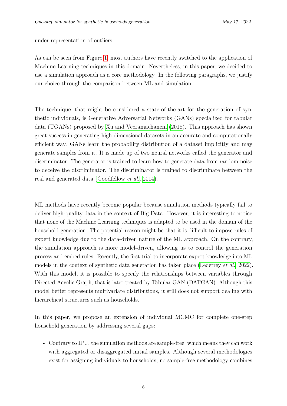under-representation of outliers.

As can be seen from Figure [1,](#page-4-0) most authors have recently switched to the application of Machine Learning techniques in this domain. Nevertheless, in this paper, we decided to use a simulation approach as a core methodology. In the following paragraphs, we justify our choice through the comparison between ML and simulation.

The technique, that might be considered a state-of-the-art for the generation of synthetic individuals, is Generative Adversarial Networks (GANs) specialized for tabular data (TGANs) proposed by [Xu and Veeramachaneni](#page-26-6) [\(2018\)](#page-26-6). This approach has shown great success in generating high dimensional datasets in an accurate and computationally efficient way. GANs learn the probability distribution of a dataset implicitly and may generate samples from it. It is made up of two neural networks called the generator and discriminator. The generator is trained to learn how to generate data from random noise to deceive the discriminator. The discriminator is trained to discriminate between the real and generated data [\(Goodfellow](#page-26-7) *et al.*, [2014\)](#page-26-7).

ML methods have recently become popular because simulation methods typically fail to deliver high-quality data in the context of Big Data. However, it is interesting to notice that none of the Machine Learning techniques is adapted to be used in the domain of the household generation. The potential reason might be that it is difficult to impose rules of expert knowledge due to the data-driven nature of the ML approach. On the contrary, the simulation approach is more model-driven, allowing us to control the generation process and embed rules. Recently, the first trial to incorporate expert knowledge into ML models in the context of synthetic data generation has taken place [\(Lederrey](#page-26-8) *et al.*, [2022\)](#page-26-8). With this model, it is possible to specify the relationships between variables through Directed Acyclic Graph, that is later treated by Tabular GAN (DATGAN). Although this model better represents multivariate distributions, it still does not support dealing with hierarchical structures such as households.

In this paper, we propose an extension of individual MCMC for complete one-step household generation by addressing several gaps:

• Contrary to IPU, the simulation methods are sample-free, which means they can work with aggregated or disaggregated initial samples. Although several methodologies exist for assigning individuals to households, no sample-free methodology combines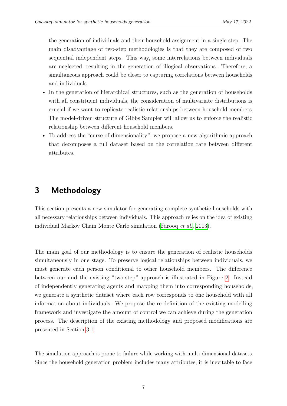the generation of individuals and their household assignment in a single step. The main disadvantage of two-step methodologies is that they are composed of two sequential independent steps. This way, some interrelations between individuals are neglected, resulting in the generation of illogical observations. Therefore, a simultaneous approach could be closer to capturing correlations between households and individuals.

- In the generation of hierarchical structures, such as the generation of households with all constituent individuals, the consideration of multivariate distributions is crucial if we want to replicate realistic relationships between household members. The model-driven structure of Gibbs Sampler will allow us to enforce the realistic relationship between different household members.
- <span id="page-8-0"></span>• To address the "curse of dimensionality", we propose a new algorithmic approach that decomposes a full dataset based on the correlation rate between different attributes.

## **3 Methodology**

This section presents a new simulator for generating complete synthetic households with all necessary relationships between individuals. This approach relies on the idea of existing individual Markov Chain Monte Carlo simulation [\(Farooq](#page-25-0) *et al.*, [2013\)](#page-25-0).

The main goal of our methodology is to ensure the generation of realistic households simultaneously in one stage. To preserve logical relationships between individuals, we must generate each person conditional to other household members. The difference between our and the existing "two-step" approach is illustrated in Figure [2.](#page-9-0) Instead of independently generating agents and mapping them into corresponding households, we generate a synthetic dataset where each row corresponds to one household with all information about individuals. We propose the re-definition of the existing modelling framework and investigate the amount of control we can achieve during the generation process. The description of the existing methodology and proposed modifications are presented in Section [3.1.](#page-9-1)

The simulation approach is prone to failure while working with multi-dimensional datasets. Since the household generation problem includes many attributes, it is inevitable to face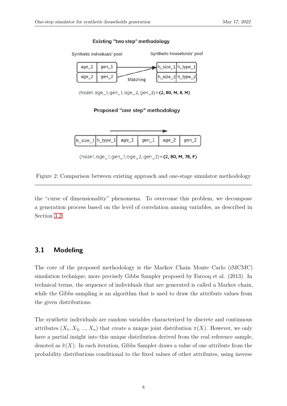#### Existing "two step" methodology

<span id="page-9-0"></span>

(hsize1, age\_1, gen\_1, age\_2, gen\_2) = (2, 80, M, 8, M)

#### Proposed "one step" methodology



(hsize1, age\_1, gen\_1, age\_2, gen\_2) = (2, 80, M, 78, F)

Figure 2: Comparison between existing approach and one-stage simulator methodology

<span id="page-9-1"></span>the "curse of dimensionality" phenomena. To overcome this problem, we decompose a generation process based on the level of correlation among variables, as described in Section [3.2.](#page-13-0)

### **3.1 Modeling**

The core of the proposed methodology is the Markov Chain Monte Carlo (iMCMC) simulation technique, more precisely Gibbs Sampler proposed by Farooq et al. (2013). In technical terms, the sequence of individuals that are generated is called a Markov chain, while the Gibbs sampling is an algorithm that is used to draw the attribute values from the given distributions.

The synthetic individuals are random variables characterized by discrete and continuous attributes  $(X_1, X_2, ..., X_n)$  that create a unique joint distribution  $\pi(X)$ . However, we only have a partial insight into this unique distribution derived from the real reference sample, denoted as  $\hat{\pi}(X)$ . In each iteration, Gibbs Sampler draws a value of one attribute from the probability distributions conditional to the fixed values of other attributes, using inverse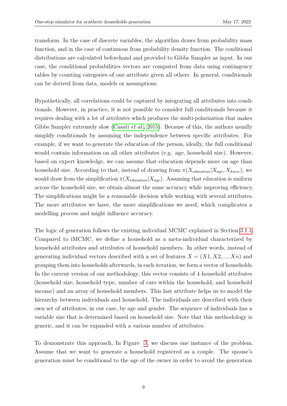transform. In the case of discrete variables, the algorithm draws from probability mass function, and in the case of continuous from probability density function. The conditional distributions are calculated beforehand and provided to Gibbs Sampler as input. In our case, the conditional probabilities vectors are computed from data using contingency tables by counting categories of one attribute given all others. In general, conditionals can be derived from data, models or assumptions.

Hypothetically, all correlations could be captured by integrating all attributes into conditionals. However, in practice, it is not possible to consider full conditionals because it requires dealing with a lot of attributes which produces the multi-polarization that makes Gibbs Sampler extremely slow [\(Casati](#page-25-5) *et al.*, [2015\)](#page-25-5). Because of this, the authors usually simplify conditionals by assuming the independence between specific attributes. For example, if we want to generate the education of the person, ideally, the full conditional would contain information on all other attributes (e.g. age, household size). However, based on expert knowledge, we can assume that education depends more on age than household size. According to that, instead of drawing from  $\pi(X_{eduction}|X_{age}, X_{hsize})$ , we would draw from the simplification  $\pi(X_{eduction}|X_{age})$ . Assuming that education is uniform across the household size, we obtain almost the same accuracy while improving efficiency. The simplifications might be a reasonable decision while working with several attributes. The more attributes we have, the more simplifications we need, which complicates a modelling process and might influence accuracy.

The logic of generation follows the existing individual MCMC explained in Section [3.1.1.](#page-11-0) Compared to iMCMC, we define a household as a meta-individual characterized by household attributes and attributes of household members. In other words, instead of generating individual vectors described with a set of features  $X = (X1, X2, ..., Xn)$  and grouping them into households afterwards, in each iteration, we form a vector of households. In the current version of our methodology, this vector consists of 4 household attributes (household size, household type, number of cars within the household, and household income) and an array of household members. This last attribute helps us to model the hierarchy between individuals and household. The individuals are described with their own set of attributes, in our case, by age and gender. The sequence of individuals has a variable size that is determined based on household size. Note that this methodology is generic, and it can be expanded with a various number of attributes.

To demonstrate this approach, In Figure [3,](#page-11-1) we discuss one instance of the problem. Assume that we want to generate a household registered as a couple. The spouse's generation must be conditional to the age of the owner in order to avoid the generation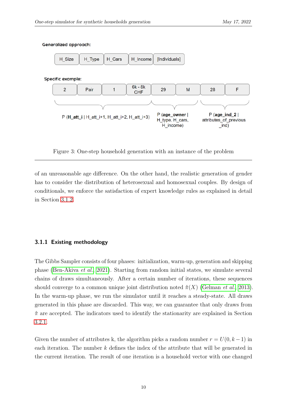

#### <span id="page-11-1"></span>**Generalized approach:**

Figure 3: One-step household generation with an instance of the problem

of an unreasonable age difference. On the other hand, the realistic generation of gender has to consider the distribution of heterosexual and homosexual couples. By design of conditionals, we enforce the satisfaction of expert knowledge rules as explained in detail in Section [3.1.2.](#page-12-0)

#### <span id="page-11-0"></span>**3.1.1 Existing methodology**

The Gibbs Sampler consists of four phases: initialization, warm-up, generation and skipping phase [\(Ben-Akiva](#page-25-6) *et al.*, [2021\)](#page-25-6). Starting from random initial states, we simulate several chains of draws simultaneously. After a certain number of iterations, these sequences should converge to a common unique joint distribution noted  $\hat{\pi}(X)$  [\(Gelman](#page-25-7) *et al.*, [2013\)](#page-25-7). In the warm-up phase, we run the simulator until it reaches a steady-state. All draws generated in this phase are discarded. This way, we can guarantee that only draws from  $\hat{\pi}$  are accepted. The indicators used to identify the stationarity are explained in Section [3.2.1.](#page-17-0)

Given the number of attributes k, the algorithm picks a random number  $r = U(0, k-1)$  in each iteration. The number *k* defines the index of the attribute that will be generated in the current iteration. The result of one iteration is a household vector with one changed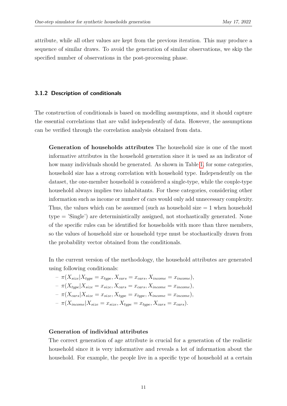attribute, while all other values are kept from the previous iteration. This may produce a sequence of similar draws. To avoid the generation of similar observations, we skip the specified number of observations in the post-processing phase.

#### <span id="page-12-0"></span>**3.1.2 Description of conditionals**

The construction of conditionals is based on modelling assumptions, and it should capture the essential correlations that are valid independently of data. However, the assumptions can be verified through the correlation analysis obtained from data.

**Generation of households attributes** The household size is one of the most informative attributes in the household generation since it is used as an indicator of how many individuals should be generated. As shown in Table [1,](#page-13-1) for some categories, household size has a strong correlation with household type. Independently on the dataset, the one-member household is considered a single-type, while the couple-type household always implies two inhabitants. For these categories, considering other information such as income or number of cars would only add unnecessary complexity. Thus, the values which can be assumed (such as household size  $= 1$  when household type = 'Single') are deterministically assigned, not stochastically generated. None of the specific rules can be identified for households with more than three members, so the values of household size or household type must be stochastically drawn from the probability vector obtained from the conditionals.

In the current version of the methodology, the household attributes are generated using following conditionals:

$$
- \pi(X_{size}|X_{type} = x_{type}, X_{cars} = x_{cars}, X_{income} = x_{income}),
$$
  

$$
- \pi(X_{type}|X_{size} = x_{size}, X_{cars} = x_{cars}, X_{income} = x_{income}),
$$
  

$$
- \pi(X_{cars}|X_{size} = x_{size}, X_{type} = x_{type}, X_{income} = x_{income}),
$$

$$
- \pi(X_{income} | X_{size} = x_{size}, X_{type} = x_{type}, X_{cars} = x_{cars}).
$$

#### **Generation of individual attributes**

The correct generation of age attribute is crucial for a generation of the realistic household since it is very informative and reveals a lot of information about the household. For example, the people live in a specific type of household at a certain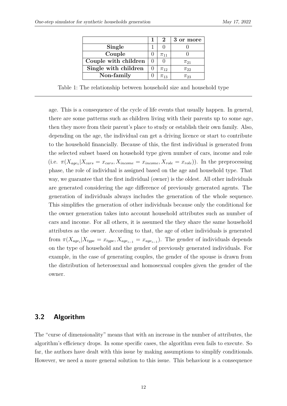<span id="page-13-1"></span>

|                      |  | $\mathbf 2$ | 3 or more  |
|----------------------|--|-------------|------------|
| Single               |  |             |            |
| Couple               |  | $\pi_{11}$  |            |
| Couple with children |  |             | $\pi_{21}$ |
| Single with children |  | $\pi_{12}$  | $\pi_{22}$ |
| Non-family           |  | $\pi_{13}$  | Т23        |

Table 1: The relationship between household size and household type

age. This is a consequence of the cycle of life events that usually happen. In general, there are some patterns such as children living with their parents up to some age, then they move from their parent's place to study or establish their own family. Also, depending on the age, the individual can get a driving licence or start to contribute to the household financially. Because of this, the first individual is generated from the selected subset based on household type given number of cars, income and role  $(i.e. \ \pi(X_{age_1}|X_{cars} = x_{cars}, X_{income} = x_{income}, X_{role} = x_{role})$ ). In the preprocessing phase, the role of individual is assigned based on the age and household type. That way, we guarantee that the first individual (owner) is the oldest. All other individuals are generated considering the age difference of previously generated agents. The generation of individuals always includes the generation of the whole sequence. This simplifies the generation of other individuals because only the conditional for the owner generation takes into account household attributes such as number of cars and income. For all others, it is assumed the they share the same household attributes as the owner. According to that, the age of other individuals is generated from  $\pi(X_{age_i}|X_{type} = x_{type}, X_{age_{i-1}} = x_{age_{i-1}})$ . The gender of individuals depends on the type of household and the gender of previously generated individuals. For example, in the case of generating couples, the gender of the spouse is drawn from the distribution of heterosexual and homosexual couples given the gender of the owner.

### <span id="page-13-0"></span>**3.2 Algorithm**

The "curse of dimensionality" means that with an increase in the number of attributes, the algorithm's efficiency drops. In some specific cases, the algorithm even fails to execute. So far, the authors have dealt with this issue by making assumptions to simplify conditionals. However, we need a more general solution to this issue. This behaviour is a consequence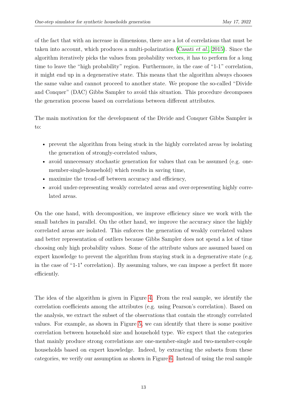of the fact that with an increase in dimensions, there are a lot of correlations that must be taken into account, which produces a multi-polarization [\(Casati](#page-25-5) *et al.*, [2015\)](#page-25-5). Since the algorithm iteratively picks the values from probability vectors, it has to perform for a long time to leave the "high probability" region. Furthermore, in the case of "1-1" correlation, it might end up in a degenerative state. This means that the algorithm always chooses the same value and cannot proceed to another state. We propose the so-called "Divide and Conquer" (DAC) Gibbs Sampler to avoid this situation. This procedure decomposes the generation process based on correlations between different attributes.

The main motivation for the development of the Divide and Conquer Gibbs Sampler is to:

- prevent the algorithm from being stuck in the highly correlated areas by isolating the generation of strongly-correlated values,
- avoid unnecessary stochastic generation for values that can be assumed (e.g. onemember-single-household) which results in saving time,
- maximize the tread-off between accuracy and efficiency,
- avoid under-representing weakly correlated areas and over-representing highly correlated areas.

On the one hand, with decomposition, we improve efficiency since we work with the small batches in parallel. On the other hand, we improve the accuracy since the highly correlated areas are isolated. This enforces the generation of weakly correlated values and better representation of outliers because Gibbs Sampler does not spend a lot of time choosing only high probability values. Some of the attribute values are assumed based on expert knowledge to prevent the algorithm from staying stuck in a degenerative state (e.g. in the case of "1-1" correlation). By assuming values, we can impose a perfect fit more efficiently.

The idea of the algorithm is given in Figure [4.](#page-15-0) From the real sample, we identify the correlation coefficients among the attributes (e.g. using Pearson's correlation). Based on the analysis, we extract the subset of the observations that contain the strongly correlated values. For example, as shown in Figure [5,](#page-16-0) we can identify that there is some positive correlation between household size and household type. We expect that the categories that mainly produce strong correlations are one-member-single and two-member-couple households based on expert knowledge. Indeed, by extracting the subsets from these categories, we verify our assumption as shown in Figure [6.](#page-16-1) Instead of using the real sample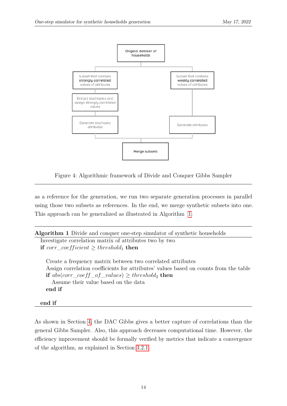<span id="page-15-0"></span>

Figure 4: Algorithmic framework of Divide and Conquer Gibbs Sampler

as a reference for the generation, we run two separate generation processes in parallel using those two subsets as references. In the end, we merge synthetic subsets into one. This approach can be generalized as illustrated in Algorithm [1.](#page-15-1)

<span id="page-15-1"></span>

| <b>Algorithm 1</b> Divide and conquer one-step simulator of synthetic households                                                                                                                                                                                                 |  |
|----------------------------------------------------------------------------------------------------------------------------------------------------------------------------------------------------------------------------------------------------------------------------------|--|
| Investigate correlation matrix of attributes two by two                                                                                                                                                                                                                          |  |
| if corr_coefficient $\geq$ threshold <sub>1</sub> then                                                                                                                                                                                                                           |  |
| Create a frequency matrix between two correlated attributes<br>Assign correlation coefficients for attributes' values based on counts from the table<br><b>if</b> abs(corr_coeff_of_values) $\geq$ threshold <sub>2</sub> then<br>Assume their value based on the data<br>end if |  |

#### **end if**

As shown in Section [4,](#page-18-0) the DAC Gibbs gives a better capture of correlations than the general Gibbs Sampler. Also, this approach decreases computational time. However, the efficiency improvement should be formally verified by metrics that indicate a convergence of the algorithm, as explained in Section [3.2.1.](#page-17-0)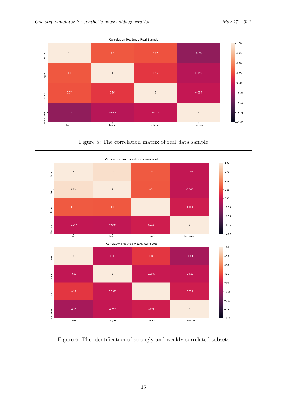<span id="page-16-0"></span>

Figure 5: The correlation matrix of real data sample

<span id="page-16-1"></span>

Figure 6: The identification of strongly and weakly correlated subsets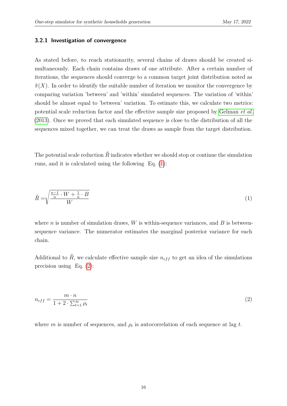#### <span id="page-17-0"></span>**3.2.1 Investigation of convergence**

As stated before, to reach stationarity, several chains of draws should be created simultaneously. Each chain contains draws of one attribute. After a certain number of iterations, the sequences should converge to a common target joint distribution noted as  $\hat{\pi}(X)$ . In order to identify the suitable number of iteration we monitor the convergence by comparing variation 'between' and 'within' simulated sequences. The variation of 'within' should be almost equal to 'between' variation. To estimate this, we calculate two metrics: potential scale reduction factor and the effective sample size proposed by [Gelman](#page-25-7) *et al.* [\(2013\)](#page-25-7). Once we proved that each simulated sequence is close to the distribution of all the sequences mixed together, we can treat the draws as sample from the target distribution.

<span id="page-17-1"></span>The potential scale reduction  $\hat{R}$  indicates whether we should stop or continue the simulation runs, and it is calculated using the following Eq. [\(1\)](#page-17-1):

$$
\hat{R} = \sqrt{\frac{\frac{n-1}{n} \cdot W + \frac{1}{n} \cdot B}{W}}
$$
\n(1)

where *n* is number of simulation draws,  $W$  is within-sequence variances, and  $B$  is betweensequence variance. The numerator estimates the marginal posterior variance for each chain.

<span id="page-17-2"></span>Additional to  $\hat{R}$ , we calculate effective sample size  $n_{eff}$  to get an idea of the simulations precision using Eq. [\(2\)](#page-17-2):

$$
n_{eff} = \frac{m \cdot n}{1 + 2 \cdot \sum_{t=1}^{\infty} \rho_t} \tag{2}
$$

where *m* is number of sequences, and  $\rho_t$  is autocorrelation of each sequence at lag *t*.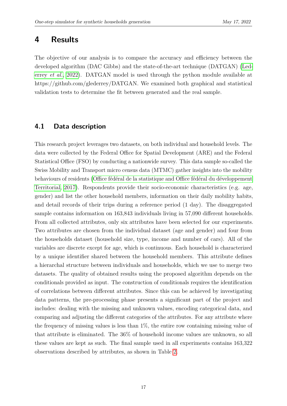### <span id="page-18-0"></span>**4 Results**

The objective of our analysis is to compare the accuracy and efficiency between the developed algorithm (DAC Gibbs) and the state-of-the-art technique (DATGAN) [\(Led](#page-26-8)errey *[et al.](#page-26-8)*, [2022\)](#page-26-8). DATGAN model is used through the python module available at https://github.com/glederrey/DATGAN. We examined both graphical and statistical validation tests to determine the fit between generated and the real sample.

### **4.1 Data description**

This research project leverages two datasets, on both individual and household levels. The data were collected by the Federal Office for Spatial Development (ARE) and the Federal Statistical Office (FSO) by conducting a nationwide survey. This data sample so-called the Swiss Mobility and Transport micro census data (MTMC) gather insights into the mobility behaviours of residents [\(Office fédéral de la statistique and Office fédéral du développement](#page-26-9) [Territorial, 2017\)](#page-26-9). Respondents provide their socio-economic characteristics (e.g. age, gender) and list the other household members, information on their daily mobility habits, and detail records of their trips during a reference period (1 day). The disaggregated sample contains information on 163,843 individuals living in 57,090 different households. From all collected attributes, only six attributes have been selected for our experiments. Two attributes are chosen from the individual dataset (age and gender) and four from the households dataset (household size, type, income and number of cars). All of the variables are discrete except for age, which is continuous. Each household is characterized by a unique identifier shared between the household members. This attribute defines a hierarchal structure between individuals and households, which we use to merge two datasets. The quality of obtained results using the proposed algorithm depends on the conditionals provided as input. The construction of conditionals requires the identification of correlations between different attributes. Since this can be achieved by investigating data patterns, the pre-processing phase presents a significant part of the project and includes: dealing with the missing and unknown values, encoding categorical data, and comparing and adjusting the different categories of the attributes. For any attribute where the frequency of missing values is less than 1%, the entire row containing missing value of that attribute is eliminated. The 36% of household income values are unknown, so all these values are kept as such. The final sample used in all experiments contains 163,322 observations described by attributes, as shown in Table [2.](#page-19-0)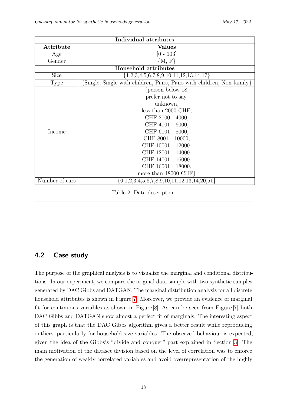<span id="page-19-0"></span>

| Individual attributes       |                                                                        |  |  |  |  |  |
|-----------------------------|------------------------------------------------------------------------|--|--|--|--|--|
| Attribute                   | <b>Values</b>                                                          |  |  |  |  |  |
| Age                         | $[0$ - $103]$                                                          |  |  |  |  |  |
| Gender                      | ${M, F}$                                                               |  |  |  |  |  |
| <b>Household attributes</b> |                                                                        |  |  |  |  |  |
| <b>Size</b>                 | $\{1,2,3,4,5,6,7,8,9,10,11,12,13,14,17\}$                              |  |  |  |  |  |
| Type                        | {Single, Single with children, Pairs, Pairs with children, Non-family} |  |  |  |  |  |
| Income                      | { $person below 18,$                                                   |  |  |  |  |  |
|                             | prefer not to say,                                                     |  |  |  |  |  |
|                             | unknown,                                                               |  |  |  |  |  |
|                             | less than $2000$ CHF,                                                  |  |  |  |  |  |
|                             | CHF 2000 - 4000,                                                       |  |  |  |  |  |
|                             | CHF 4001 - 6000,                                                       |  |  |  |  |  |
|                             | CHF 6001 - 8000,                                                       |  |  |  |  |  |
|                             | CHF 8001 - 10000,                                                      |  |  |  |  |  |
|                             | CHF 10001 - 12000,                                                     |  |  |  |  |  |
|                             | CHF 12001 - 14000,                                                     |  |  |  |  |  |
|                             | CHF 14001 - 16000,                                                     |  |  |  |  |  |
|                             | CHF 16001 - 18000,                                                     |  |  |  |  |  |
|                             | more than $18000 \text{ CHF}$                                          |  |  |  |  |  |
| Number of cars              | $\{0,1,2,3,4,5,6,7,8,9,10,11,12,13,14,20,51\}$                         |  |  |  |  |  |

Table 2: Data description

### **4.2 Case study**

The purpose of the graphical analysis is to visualize the marginal and conditional distributions. In our experiment, we compare the original data sample with two synthetic samples generated by DAC Gibbs and DATGAN. The marginal distribution analysis for all discrete household attributes is shown in Figure [7.](#page-20-0) Moreover, we provide an evidence of marginal fit for continuous variables as shown in Figure [8.](#page-20-1) As can be seen from Figure [7,](#page-20-0) both DAC Gibbs and DATGAN show almost a perfect fit of marginals. The interesting aspect of this graph is that the DAC Gibbs algorithm gives a better result while reproducing outliers, particularly for household size variables. The observed behaviour is expected, given the idea of the Gibbs's "divide and conquer" part explained in Section [3.](#page-8-0) The main motivation of the dataset division based on the level of correlation was to enforce the generation of weakly correlated variables and avoid overrepresentation of the highly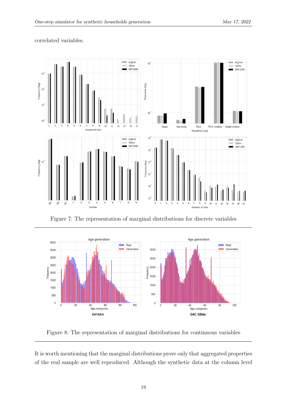<span id="page-20-0"></span>

#### correlated variables.

Figure 7: The representation of marginal distributions for discrete variables

<span id="page-20-1"></span>

Figure 8: The representation of marginal distributions for continuous variables

It is worth mentioning that the marginal distributions prove only that aggregated properties of the real sample are well reproduced. Although the synthetic data at the column level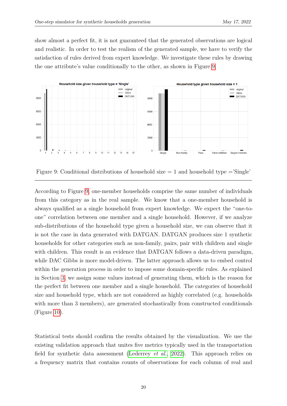show almost a perfect fit, it is not guaranteed that the generated observations are logical and realistic. In order to test the realism of the generated sample, we have to verify the satisfaction of rules derived from expert knowledge. We investigate these rules by drawing the one attribute's value conditionally to the other, as shown in Figure [9.](#page-21-0)

<span id="page-21-0"></span>

Figure 9: Conditional distributions of household size  $= 1$  and household type  $=$ 'Single'

According to Figure [9,](#page-21-0) one-member households comprise the same number of individuals from this category as in the real sample. We know that a one-member household is always qualified as a single household from expert knowledge. We expect the "one-toone" correlation between one member and a single household. However, if we analyze sub-distributions of the household type given a household size, we can observe that it is not the case in data generated with DATGAN. DATGAN produces size 1 synthetic households for other categories such as non-family, pairs, pair with children and single with children. This result is an evidence that DATGAN follows a data-driven paradigm, while DAC Gibbs is more model-driven. The latter approach allows us to embed control within the generation process in order to impose some domain-specific rules. As explained in Section [3,](#page-8-0) we assign some values instead of generating them, which is the reason for the perfect fit between one member and a single household. The categories of household size and household type, which are not considered as highly correlated (e.g. households with more than 3 members), are generated stochastically from constructed conditionals (Figure [10\)](#page-22-0).

Statistical tests should confirm the results obtained by the visualization. We use the existing validation approach that unites five metrics typically used in the transportation field for synthetic data assessment [\(Lederrey](#page-26-8) *et al.*, [2022\)](#page-26-8). This approach relies on a frequency matrix that contains counts of observations for each column of real and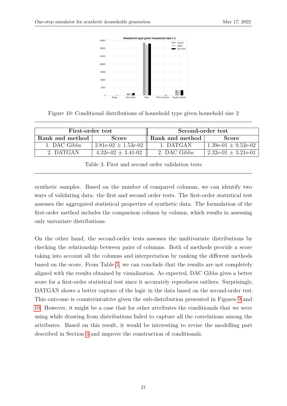<span id="page-22-0"></span>

Figure 10: Conditional distributions of household type given household size 2

<span id="page-22-1"></span>

| First-order test |                         | Second-order test |                         |  |
|------------------|-------------------------|-------------------|-------------------------|--|
| Rank and method  | <b>Score</b>            | Rank and method   | <b>Score</b>            |  |
| 1. DAC Gibbs     | $2.81e-02 \pm 1.53e-02$ | 1 DATGAN          | $1.39e-01 \pm 9.52e-02$ |  |
| 2. DATGAN        | $4.32e-02 \pm 3.41-02$  | 2 DAC Gibbs       | $2.32e-01 \pm 3.21e-01$ |  |

Table 3: First and second order validation tests

synthetic samples. Based on the number of compared columns, we can identify two ways of validating data: the first and second order tests. The first-order statistical test assesses the aggregated statistical properties of synthetic data. The formulation of the first-order method includes the comparison column by column, which results in assessing only univariate distributions.

On the other hand, the second-order tests assesses the multivariate distributions by checking the relationship between pairs of columns. Both of methods provide a score taking into account all the columns and interpretation by ranking the different methods based on the score. From Table [3,](#page-22-1) we can conclude that the results are not completely aligned with the results obtained by visualization. As expected, DAC Gibbs gives a better score for a first-order statistical test since it accurately reproduces outliers. Surprisingly, DATGAN shows a better capture of the logic in the data based on the second-order test. This outcome is counterintuitive given the sub-distribution presented in Figures [9](#page-21-0) and [10.](#page-22-0) However, it might be a case that for other attributes the conditionals that we were using while drawing from distributions failed to capture all the correlations among the attributes. Based on this result, it would be interesting to revise the modelling part described in Section [3](#page-8-0) and improve the construction of conditionals.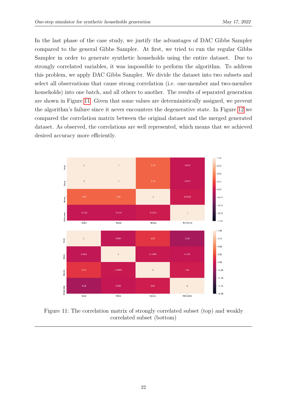In the last phase of the case study, we justify the advantages of DAC Gibbs Sampler compared to the general Gibbs Sampler. At first, we tried to run the regular Gibbs Sampler in order to generate synthetic households using the entire dataset. Due to strongly correlated variables, it was impossible to perform the algorithm. To address this problem, we apply DAC Gibbs Sampler. We divide the dataset into two subsets and select all observations that cause strong correlation (i.e. one-member and two-member households) into one batch, and all others to another. The results of separated generation are shown in Figure [11.](#page-23-0) Given that some values are deterministically assigned, we prevent the algorithm's failure since it never encounters the degenerative state. In Figure [12](#page-24-1) we compared the correlation matrix between the original dataset and the merged generated dataset. As observed, the correlations are well represented, which means that we achieved desired accuracy more efficiently.

<span id="page-23-0"></span>

Figure 11: The correlation matrix of strongly correlated subset (top) and weakly correlated subset (bottom)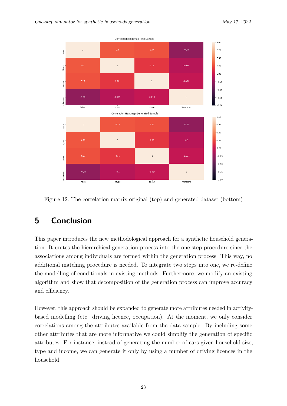<span id="page-24-1"></span>

Figure 12: The correlation matrix original (top) and generated dataset (bottom)

## <span id="page-24-0"></span>**5 Conclusion**

This paper introduces the new methodological approach for a synthetic household generation. It unites the hierarchical generation process into the one-step procedure since the associations among individuals are formed within the generation process. This way, no additional matching procedure is needed. To integrate two steps into one, we re-define the modelling of conditionals in existing methods. Furthermore, we modify an existing algorithm and show that decomposition of the generation process can improve accuracy and efficiency.

However, this approach should be expanded to generate more attributes needed in activitybased modelling (etc. driving licence, occupation). At the moment, we only consider correlations among the attributes available from the data sample. By including some other attributes that are more informative we could simplify the generation of specific attributes. For instance, instead of generating the number of cars given household size, type and income, we can generate it only by using a number of driving licences in the household.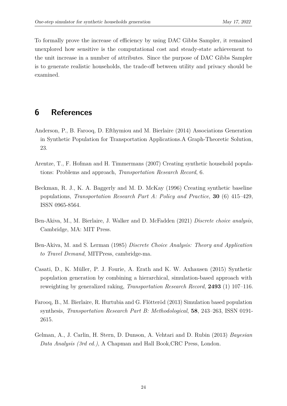To formally prove the increase of efficiency by using DAC Gibbs Sampler, it remained unexplored how sensitive is the computational cost and steady-state achievement to the unit increase in a number of attributes. Since the purpose of DAC Gibbs Sampler is to generate realistic households, the trade-off between utility and privacy should be examined.

### **6 References**

- <span id="page-25-4"></span>Anderson, P., B. Farooq, D. Efthymiou and M. Bierlaire (2014) Associations Generation in Synthetic Population for Transportation Applications.A Graph-Theoretic Solution, 23.
- <span id="page-25-3"></span>Arentze, T., F. Hofman and H. Timmermans (2007) Creating synthetic household populations: Problems and approach, *Transportation Research Record*, 6.
- <span id="page-25-1"></span>Beckman, R. J., K. A. Baggerly and M. D. McKay (1996) Creating synthetic baseline populations, *Transportation Research Part A: Policy and Practice*, **30** (6) 415–429, ISSN 0965-8564.
- <span id="page-25-6"></span>Ben-Akiva, M., M. Bierlaire, J. Walker and D. McFadden (2021) *Discrete choice analysis*, Cambridge, MA: MIT Press.
- <span id="page-25-2"></span>Ben-Akiva, M. and S. Lerman (1985) *Discrete Choice Analysis: Theory and Application to Travel Demand*, MITPress, cambridge-ma.
- <span id="page-25-5"></span>Casati, D., K. Müller, P. J. Fourie, A. Erath and K. W. Axhausen (2015) Synthetic population generation by combining a hierarchical, simulation-based approach with reweighting by generalized raking, *Transportation Research Record*, **2493** (1) 107–116.
- <span id="page-25-0"></span>Farooq, B., M. Bierlaire, R. Hurtubia and G. Flötteröd (2013) Simulation based population synthesis, *Transportation Research Part B: Methodological*, **58**, 243–263, ISSN 0191- 2615.
- <span id="page-25-7"></span>Gelman, A., J. Carlin, H. Stern, D. Dunson, A. Vehtari and D. Rubin (2013) *Bayesian Data Analysis (3rd ed.)*, A Chapman and Hall Book,CRC Press, London.